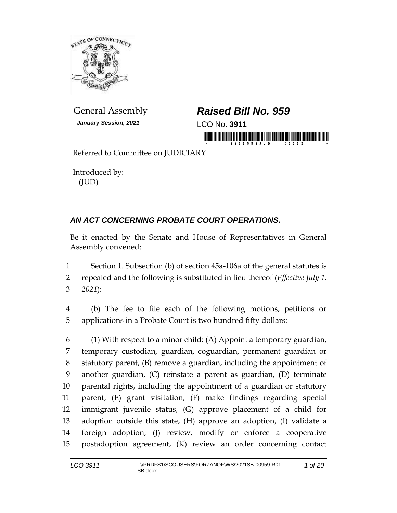

*January Session, 2021* LCO No. **3911**

## General Assembly *Raised Bill No. 959*

in mornik Krististininin moralistinin morni

Referred to Committee on JUDICIARY

Introduced by: (JUD)

## *AN ACT CONCERNING PROBATE COURT OPERATIONS.*

Be it enacted by the Senate and House of Representatives in General Assembly convened:

1 Section 1. Subsection (b) of section 45a-106a of the general statutes is 2 repealed and the following is substituted in lieu thereof (*Effective July 1,*  3 *2021*):

4 (b) The fee to file each of the following motions, petitions or 5 applications in a Probate Court is two hundred fifty dollars:

 (1) With respect to a minor child: (A) Appoint a temporary guardian, temporary custodian, guardian, coguardian, permanent guardian or statutory parent, (B) remove a guardian, including the appointment of another guardian, (C) reinstate a parent as guardian, (D) terminate parental rights, including the appointment of a guardian or statutory parent, (E) grant visitation, (F) make findings regarding special immigrant juvenile status, (G) approve placement of a child for adoption outside this state, (H) approve an adoption, (I) validate a foreign adoption, (J) review, modify or enforce a cooperative postadoption agreement, (K) review an order concerning contact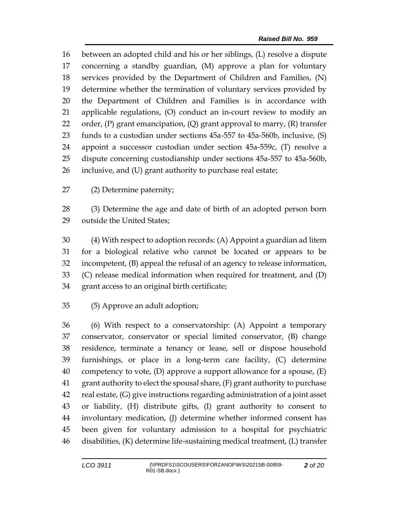between an adopted child and his or her siblings, (L) resolve a dispute concerning a standby guardian, (M) approve a plan for voluntary services provided by the Department of Children and Families, (N) determine whether the termination of voluntary services provided by the Department of Children and Families is in accordance with applicable regulations, (O) conduct an in-court review to modify an 22 order,  $(P)$  grant emancipation,  $(Q)$  grant approval to marry,  $(R)$  transfer funds to a custodian under sections 45a-557 to 45a-560b, inclusive, (S) appoint a successor custodian under section 45a-559c, (T) resolve a dispute concerning custodianship under sections 45a-557 to 45a-560b, inclusive, and (U) grant authority to purchase real estate;

(2) Determine paternity;

 (3) Determine the age and date of birth of an adopted person born outside the United States;

 (4) With respect to adoption records: (A) Appoint a guardian ad litem for a biological relative who cannot be located or appears to be incompetent, (B) appeal the refusal of an agency to release information, (C) release medical information when required for treatment, and (D) grant access to an original birth certificate;

(5) Approve an adult adoption;

 (6) With respect to a conservatorship: (A) Appoint a temporary conservator, conservator or special limited conservator, (B) change residence, terminate a tenancy or lease, sell or dispose household furnishings, or place in a long-term care facility, (C) determine 40 competency to vote, (D) approve a support allowance for a spouse,  $(E)$  grant authority to elect the spousal share, (F) grant authority to purchase real estate, (G) give instructions regarding administration of a joint asset or liability, (H) distribute gifts, (I) grant authority to consent to involuntary medication, (J) determine whether informed consent has been given for voluntary admission to a hospital for psychiatric disabilities, (K) determine life-sustaining medical treatment, (L) transfer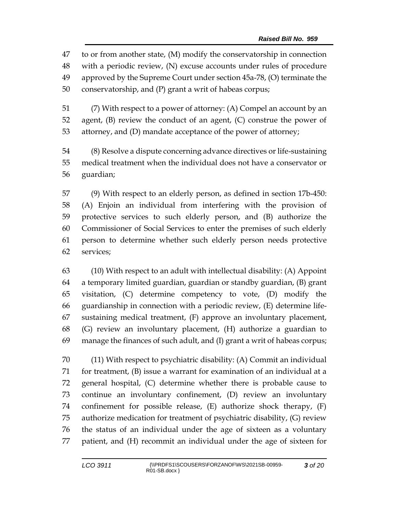to or from another state, (M) modify the conservatorship in connection with a periodic review, (N) excuse accounts under rules of procedure approved by the Supreme Court under section 45a-78, (O) terminate the conservatorship, and (P) grant a writ of habeas corpus;

 (7) With respect to a power of attorney: (A) Compel an account by an agent, (B) review the conduct of an agent, (C) construe the power of attorney, and (D) mandate acceptance of the power of attorney;

 (8) Resolve a dispute concerning advance directives or life-sustaining medical treatment when the individual does not have a conservator or guardian;

 (9) With respect to an elderly person, as defined in section 17b-450: (A) Enjoin an individual from interfering with the provision of protective services to such elderly person, and (B) authorize the Commissioner of Social Services to enter the premises of such elderly person to determine whether such elderly person needs protective services;

 (10) With respect to an adult with intellectual disability: (A) Appoint a temporary limited guardian, guardian or standby guardian, (B) grant visitation, (C) determine competency to vote, (D) modify the guardianship in connection with a periodic review, (E) determine life- sustaining medical treatment, (F) approve an involuntary placement, (G) review an involuntary placement, (H) authorize a guardian to manage the finances of such adult, and (I) grant a writ of habeas corpus;

 (11) With respect to psychiatric disability: (A) Commit an individual for treatment, (B) issue a warrant for examination of an individual at a general hospital, (C) determine whether there is probable cause to continue an involuntary confinement, (D) review an involuntary confinement for possible release, (E) authorize shock therapy, (F) authorize medication for treatment of psychiatric disability, (G) review the status of an individual under the age of sixteen as a voluntary patient, and (H) recommit an individual under the age of sixteen for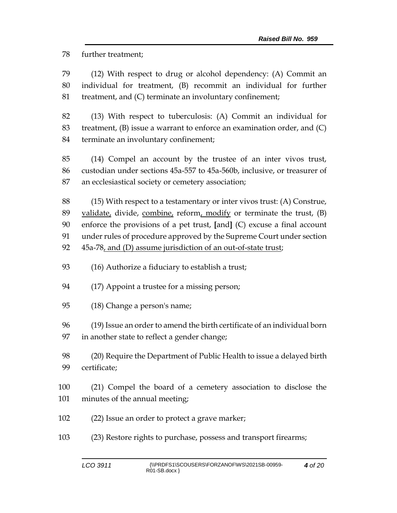further treatment;

 (12) With respect to drug or alcohol dependency: (A) Commit an individual for treatment, (B) recommit an individual for further treatment, and (C) terminate an involuntary confinement;

 (13) With respect to tuberculosis: (A) Commit an individual for treatment, (B) issue a warrant to enforce an examination order, and (C) terminate an involuntary confinement;

 (14) Compel an account by the trustee of an inter vivos trust, custodian under sections 45a-557 to 45a-560b, inclusive, or treasurer of an ecclesiastical society or cemetery association;

 (15) With respect to a testamentary or inter vivos trust: (A) Construe, 89 validate, divide, combine, reform, modify or terminate the trust,  $(B)$  enforce the provisions of a pet trust, **[**and**]** (C) excuse a final account under rules of procedure approved by the Supreme Court under section 45a-78, and (D) assume jurisdiction of an out-of-state trust;

(16) Authorize a fiduciary to establish a trust;

(17) Appoint a trustee for a missing person;

(18) Change a person's name;

(19) Issue an order to amend the birth certificate of an individual born

in another state to reflect a gender change;

 (20) Require the Department of Public Health to issue a delayed birth certificate;

- (21) Compel the board of a cemetery association to disclose the minutes of the annual meeting;
- (22) Issue an order to protect a grave marker;
- (23) Restore rights to purchase, possess and transport firearms;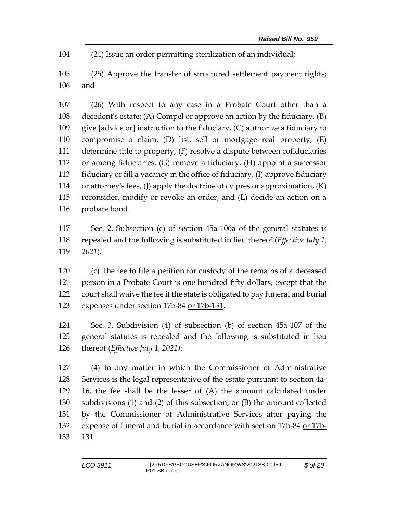(24) Issue an order permitting sterilization of an individual;

 (25) Approve the transfer of structured settlement payment rights; and

 (26) With respect to any case in a Probate Court other than a decedent's estate: (A) Compel or approve an action by the fiduciary, (B) give **[**advice or**]** instruction to the fiduciary, (C) authorize a fiduciary to compromise a claim, (D) list, sell or mortgage real property, (E) determine title to property, (F) resolve a dispute between cofiduciaries or among fiduciaries, (G) remove a fiduciary, (H) appoint a successor fiduciary or fill a vacancy in the office of fiduciary, (I) approve fiduciary or attorney's fees, (J) apply the doctrine of cy pres or approximation, (K) reconsider, modify or revoke an order, and (L) decide an action on a probate bond.

 Sec. 2. Subsection (c) of section 45a-106a of the general statutes is repealed and the following is substituted in lieu thereof (*Effective July 1, 2021*):

 (c) The fee to file a petition for custody of the remains of a deceased person in a Probate Court is one hundred fifty dollars, except that the court shall waive the fee if the state is obligated to pay funeral and burial expenses under section 17b-84 or 17b-131.

 Sec. 3. Subdivision (4) of subsection (b) of section 45a-107 of the general statutes is repealed and the following is substituted in lieu thereof (*Effective July 1, 2021)*:

 (4) In any matter in which the Commissioner of Administrative Services is the legal representative of the estate pursuant to section 4a- 16, the fee shall be the lesser of (A) the amount calculated under subdivisions (1) and (2) of this subsection, or (B) the amount collected by the Commissioner of Administrative Services after paying the expense of funeral and burial in accordance with section 17b-84 or 17b-133 131.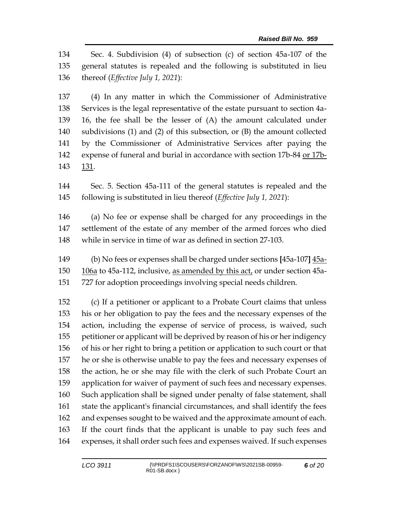Sec. 4. Subdivision (4) of subsection (c) of section 45a-107 of the general statutes is repealed and the following is substituted in lieu thereof (*Effective July 1, 2021*):

 (4) In any matter in which the Commissioner of Administrative Services is the legal representative of the estate pursuant to section 4a- 16, the fee shall be the lesser of (A) the amount calculated under subdivisions (1) and (2) of this subsection, or (B) the amount collected by the Commissioner of Administrative Services after paying the expense of funeral and burial in accordance with section 17b-84 or 17b-131.

 Sec. 5. Section 45a-111 of the general statutes is repealed and the following is substituted in lieu thereof (*Effective July 1, 2021*):

 (a) No fee or expense shall be charged for any proceedings in the settlement of the estate of any member of the armed forces who died while in service in time of war as defined in section 27-103.

 (b) No fees or expenses shall be charged under sections **[**45a-107**]** 45a- 106a to 45a-112, inclusive, as amended by this act, or under section 45a-727 for adoption proceedings involving special needs children.

 (c) If a petitioner or applicant to a Probate Court claims that unless his or her obligation to pay the fees and the necessary expenses of the action, including the expense of service of process, is waived, such petitioner or applicant will be deprived by reason of his or her indigency of his or her right to bring a petition or application to such court or that he or she is otherwise unable to pay the fees and necessary expenses of the action, he or she may file with the clerk of such Probate Court an application for waiver of payment of such fees and necessary expenses. Such application shall be signed under penalty of false statement, shall state the applicant's financial circumstances, and shall identify the fees and expenses sought to be waived and the approximate amount of each. If the court finds that the applicant is unable to pay such fees and expenses, it shall order such fees and expenses waived. If such expenses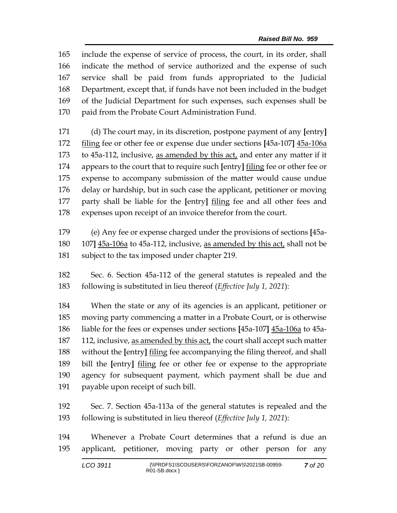include the expense of service of process, the court, in its order, shall indicate the method of service authorized and the expense of such service shall be paid from funds appropriated to the Judicial Department, except that, if funds have not been included in the budget of the Judicial Department for such expenses, such expenses shall be paid from the Probate Court Administration Fund.

 (d) The court may, in its discretion, postpone payment of any **[**entry**]** filing fee or other fee or expense due under sections **[**45a-107**]** 45a-106a to 45a-112, inclusive, as amended by this act, and enter any matter if it appears to the court that to require such **[**entry**]** filing fee or other fee or expense to accompany submission of the matter would cause undue delay or hardship, but in such case the applicant, petitioner or moving party shall be liable for the **[**entry**]** filing fee and all other fees and expenses upon receipt of an invoice therefor from the court.

 (e) Any fee or expense charged under the provisions of sections **[**45a- 107**]** 45a-106a to 45a-112, inclusive, as amended by this act, shall not be 181 subject to the tax imposed under chapter 219.

 Sec. 6. Section 45a-112 of the general statutes is repealed and the following is substituted in lieu thereof (*Effective July 1, 2021*):

 When the state or any of its agencies is an applicant, petitioner or moving party commencing a matter in a Probate Court, or is otherwise liable for the fees or expenses under sections **[**45a-107**]** 45a-106a to 45a-187 112, inclusive, as amended by this act, the court shall accept such matter without the **[**entry**]** filing fee accompanying the filing thereof, and shall bill the **[**entry**]** filing fee or other fee or expense to the appropriate agency for subsequent payment, which payment shall be due and payable upon receipt of such bill.

 Sec. 7. Section 45a-113a of the general statutes is repealed and the following is substituted in lieu thereof (*Effective July 1, 2021*):

 Whenever a Probate Court determines that a refund is due an applicant, petitioner, moving party or other person for any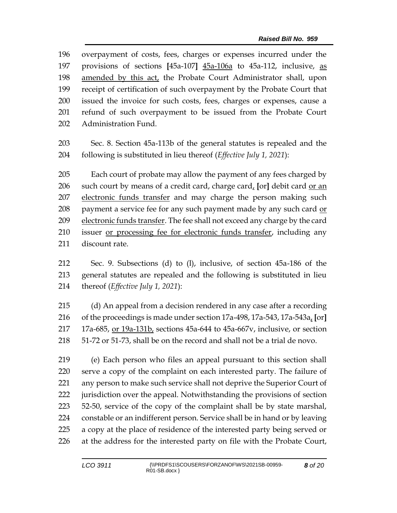overpayment of costs, fees, charges or expenses incurred under the provisions of sections **[**45a-107**]** 45a-106a to 45a-112, inclusive, as amended by this act, the Probate Court Administrator shall, upon receipt of certification of such overpayment by the Probate Court that issued the invoice for such costs, fees, charges or expenses, cause a refund of such overpayment to be issued from the Probate Court Administration Fund.

 Sec. 8. Section 45a-113b of the general statutes is repealed and the following is substituted in lieu thereof (*Effective July 1, 2021*):

 Each court of probate may allow the payment of any fees charged by such court by means of a credit card, charge card, **[**or**]** debit card or an 207 electronic funds transfer and may charge the person making such 208 payment a service fee for any such payment made by any such card or 209 electronic funds transfer. The fee shall not exceed any charge by the card issuer or processing fee for electronic funds transfer, including any discount rate.

 Sec. 9. Subsections (d) to (l), inclusive, of section 45a-186 of the general statutes are repealed and the following is substituted in lieu thereof (*Effective July 1, 2021*):

 (d) An appeal from a decision rendered in any case after a recording of the proceedings is made under section 17a-498, 17a-543, 17a-543a, **[**or**]**  17a-685, or 19a-131b, sections 45a-644 to 45a-667v, inclusive, or section 51-72 or 51-73, shall be on the record and shall not be a trial de novo.

 (e) Each person who files an appeal pursuant to this section shall serve a copy of the complaint on each interested party. The failure of any person to make such service shall not deprive the Superior Court of jurisdiction over the appeal. Notwithstanding the provisions of section 52-50, service of the copy of the complaint shall be by state marshal, constable or an indifferent person. Service shall be in hand or by leaving a copy at the place of residence of the interested party being served or at the address for the interested party on file with the Probate Court,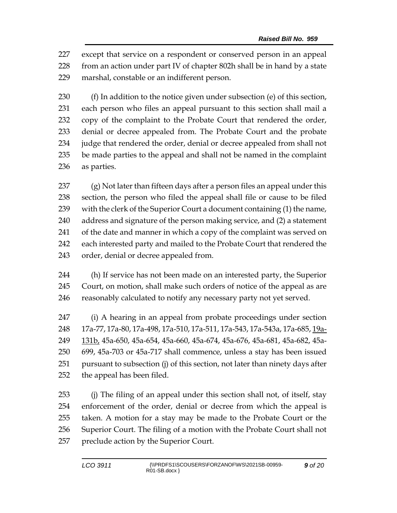except that service on a respondent or conserved person in an appeal from an action under part IV of chapter 802h shall be in hand by a state marshal, constable or an indifferent person.

 (f) In addition to the notice given under subsection (e) of this section, each person who files an appeal pursuant to this section shall mail a copy of the complaint to the Probate Court that rendered the order, denial or decree appealed from. The Probate Court and the probate 234 judge that rendered the order, denial or decree appealed from shall not be made parties to the appeal and shall not be named in the complaint as parties.

 (g) Not later than fifteen days after a person files an appeal under this section, the person who filed the appeal shall file or cause to be filed with the clerk of the Superior Court a document containing (1) the name, address and signature of the person making service, and (2) a statement 241 of the date and manner in which a copy of the complaint was served on each interested party and mailed to the Probate Court that rendered the order, denial or decree appealed from.

 (h) If service has not been made on an interested party, the Superior Court, on motion, shall make such orders of notice of the appeal as are reasonably calculated to notify any necessary party not yet served.

 (i) A hearing in an appeal from probate proceedings under section 17a-77, 17a-80, 17a-498, 17a-510, 17a-511, 17a-543, 17a-543a, 17a-685, 19a- 131b, 45a-650, 45a-654, 45a-660, 45a-674, 45a-676, 45a-681, 45a-682, 45a- 699, 45a-703 or 45a-717 shall commence, unless a stay has been issued pursuant to subsection (j) of this section, not later than ninety days after the appeal has been filed.

 (j) The filing of an appeal under this section shall not, of itself, stay enforcement of the order, denial or decree from which the appeal is taken. A motion for a stay may be made to the Probate Court or the Superior Court. The filing of a motion with the Probate Court shall not preclude action by the Superior Court.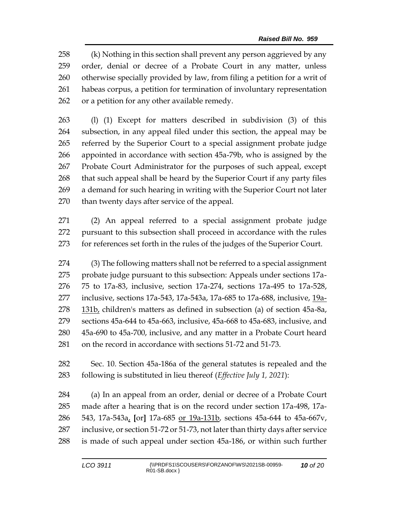(k) Nothing in this section shall prevent any person aggrieved by any order, denial or decree of a Probate Court in any matter, unless otherwise specially provided by law, from filing a petition for a writ of habeas corpus, a petition for termination of involuntary representation or a petition for any other available remedy.

 (l) (1) Except for matters described in subdivision (3) of this subsection, in any appeal filed under this section, the appeal may be referred by the Superior Court to a special assignment probate judge appointed in accordance with section 45a-79b, who is assigned by the Probate Court Administrator for the purposes of such appeal, except that such appeal shall be heard by the Superior Court if any party files a demand for such hearing in writing with the Superior Court not later than twenty days after service of the appeal.

 (2) An appeal referred to a special assignment probate judge pursuant to this subsection shall proceed in accordance with the rules for references set forth in the rules of the judges of the Superior Court.

 (3) The following matters shall not be referred to a special assignment probate judge pursuant to this subsection: Appeals under sections 17a- 75 to 17a-83, inclusive, section 17a-274, sections 17a-495 to 17a-528, inclusive, sections 17a-543, 17a-543a, 17a-685 to 17a-688, inclusive, 19a-278 131b, children's matters as defined in subsection (a) of section 45a-8a, sections 45a-644 to 45a-663, inclusive, 45a-668 to 45a-683, inclusive, and 45a-690 to 45a-700, inclusive, and any matter in a Probate Court heard on the record in accordance with sections 51-72 and 51-73.

 Sec. 10. Section 45a-186a of the general statutes is repealed and the following is substituted in lieu thereof (*Effective July 1, 2021*):

 (a) In an appeal from an order, denial or decree of a Probate Court made after a hearing that is on the record under section 17a-498, 17a- 543, 17a-543a, **[**or**]** 17a-685 or 19a-131b, sections 45a-644 to 45a-667v, inclusive, or section 51-72 or 51-73, not later than thirty days after service is made of such appeal under section 45a-186, or within such further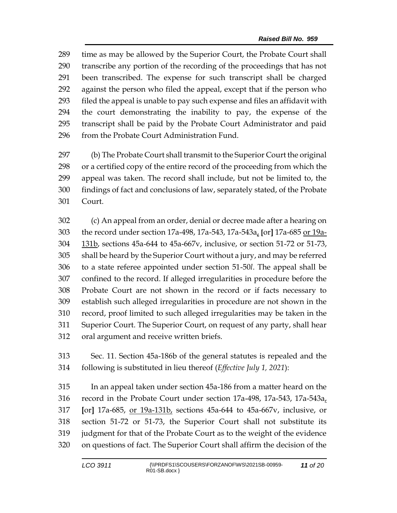time as may be allowed by the Superior Court, the Probate Court shall transcribe any portion of the recording of the proceedings that has not been transcribed. The expense for such transcript shall be charged against the person who filed the appeal, except that if the person who filed the appeal is unable to pay such expense and files an affidavit with the court demonstrating the inability to pay, the expense of the transcript shall be paid by the Probate Court Administrator and paid 296 from the Probate Court Administration Fund.

 (b) The Probate Court shall transmit to the Superior Court the original or a certified copy of the entire record of the proceeding from which the appeal was taken. The record shall include, but not be limited to, the findings of fact and conclusions of law, separately stated, of the Probate Court.

 (c) An appeal from an order, denial or decree made after a hearing on the record under section 17a-498, 17a-543, 17a-543a, **[**or**]** 17a-685 or 19a- 131b, sections 45a-644 to 45a-667v, inclusive, or section 51-72 or 51-73, shall be heard by the Superior Court without a jury, and may be referred to a state referee appointed under section 51-50*l*. The appeal shall be confined to the record. If alleged irregularities in procedure before the Probate Court are not shown in the record or if facts necessary to establish such alleged irregularities in procedure are not shown in the record, proof limited to such alleged irregularities may be taken in the Superior Court. The Superior Court, on request of any party, shall hear oral argument and receive written briefs.

 Sec. 11. Section 45a-186b of the general statutes is repealed and the following is substituted in lieu thereof (*Effective July 1, 2021*):

 In an appeal taken under section 45a-186 from a matter heard on the record in the Probate Court under section 17a-498, 17a-543, 17a-543a, **[**or**]** 17a-685, or 19a-131b, sections 45a-644 to 45a-667v, inclusive, or section 51-72 or 51-73, the Superior Court shall not substitute its judgment for that of the Probate Court as to the weight of the evidence on questions of fact. The Superior Court shall affirm the decision of the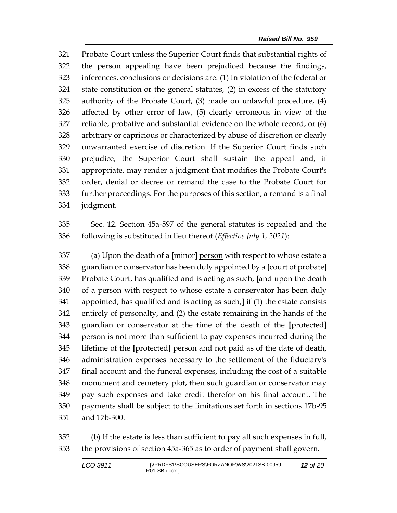Probate Court unless the Superior Court finds that substantial rights of the person appealing have been prejudiced because the findings, inferences, conclusions or decisions are: (1) In violation of the federal or state constitution or the general statutes, (2) in excess of the statutory authority of the Probate Court, (3) made on unlawful procedure, (4) affected by other error of law, (5) clearly erroneous in view of the reliable, probative and substantial evidence on the whole record, or (6) arbitrary or capricious or characterized by abuse of discretion or clearly unwarranted exercise of discretion. If the Superior Court finds such prejudice, the Superior Court shall sustain the appeal and, if appropriate, may render a judgment that modifies the Probate Court's order, denial or decree or remand the case to the Probate Court for further proceedings. For the purposes of this section, a remand is a final judgment.

 Sec. 12. Section 45a-597 of the general statutes is repealed and the following is substituted in lieu thereof (*Effective July 1, 2021*):

 (a) Upon the death of a **[**minor**]** person with respect to whose estate a guardian or conservator has been duly appointed by a **[**court of probate**]** Probate Court, has qualified and is acting as such, **[**and upon the death of a person with respect to whose estate a conservator has been duly appointed, has qualified and is acting as such,**]** if (1) the estate consists entirely of personalty, and (2) the estate remaining in the hands of the guardian or conservator at the time of the death of the **[**protected**]** person is not more than sufficient to pay expenses incurred during the lifetime of the **[**protected**]** person and not paid as of the date of death, administration expenses necessary to the settlement of the fiduciary's final account and the funeral expenses, including the cost of a suitable monument and cemetery plot, then such guardian or conservator may pay such expenses and take credit therefor on his final account. The payments shall be subject to the limitations set forth in sections 17b-95 and 17b-300.

 (b) If the estate is less than sufficient to pay all such expenses in full, the provisions of section 45a-365 as to order of payment shall govern.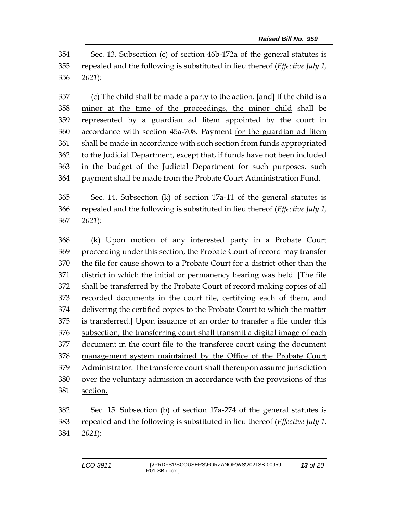Sec. 13. Subsection (c) of section 46b-172a of the general statutes is repealed and the following is substituted in lieu thereof (*Effective July 1, 2021*):

 (c) The child shall be made a party to the action. **[**and**]** If the child is a minor at the time of the proceedings, the minor child shall be represented by a guardian ad litem appointed by the court in accordance with section 45a-708. Payment for the guardian ad litem shall be made in accordance with such section from funds appropriated to the Judicial Department, except that, if funds have not been included in the budget of the Judicial Department for such purposes, such payment shall be made from the Probate Court Administration Fund.

 Sec. 14. Subsection (k) of section 17a-11 of the general statutes is repealed and the following is substituted in lieu thereof (*Effective July 1, 2021*):

 (k) Upon motion of any interested party in a Probate Court proceeding under this section, the Probate Court of record may transfer the file for cause shown to a Probate Court for a district other than the district in which the initial or permanency hearing was held. **[**The file shall be transferred by the Probate Court of record making copies of all recorded documents in the court file, certifying each of them, and delivering the certified copies to the Probate Court to which the matter is transferred.**]** Upon issuance of an order to transfer a file under this subsection, the transferring court shall transmit a digital image of each document in the court file to the transferee court using the document management system maintained by the Office of the Probate Court Administrator. The transferee court shall thereupon assume jurisdiction over the voluntary admission in accordance with the provisions of this section.

 Sec. 15. Subsection (b) of section 17a-274 of the general statutes is repealed and the following is substituted in lieu thereof (*Effective July 1, 2021*):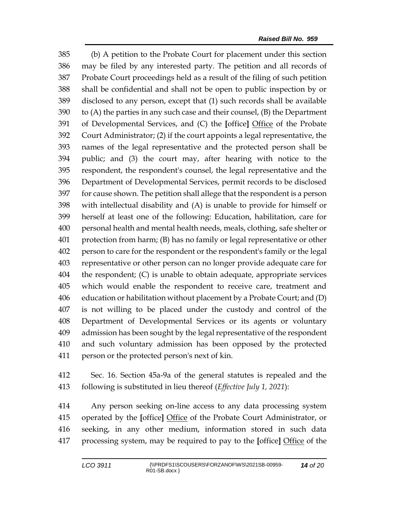(b) A petition to the Probate Court for placement under this section may be filed by any interested party. The petition and all records of Probate Court proceedings held as a result of the filing of such petition shall be confidential and shall not be open to public inspection by or disclosed to any person, except that (1) such records shall be available 390 to  $(A)$  the parties in any such case and their counsel,  $(B)$  the Department of Developmental Services, and (C) the **[**office**]** Office of the Probate Court Administrator; (2) if the court appoints a legal representative, the names of the legal representative and the protected person shall be public; and (3) the court may, after hearing with notice to the respondent, the respondent's counsel, the legal representative and the Department of Developmental Services, permit records to be disclosed for cause shown. The petition shall allege that the respondent is a person with intellectual disability and (A) is unable to provide for himself or herself at least one of the following: Education, habilitation, care for personal health and mental health needs, meals, clothing, safe shelter or protection from harm; (B) has no family or legal representative or other person to care for the respondent or the respondent's family or the legal representative or other person can no longer provide adequate care for the respondent; (C) is unable to obtain adequate, appropriate services which would enable the respondent to receive care, treatment and education or habilitation without placement by a Probate Court; and (D) is not willing to be placed under the custody and control of the Department of Developmental Services or its agents or voluntary admission has been sought by the legal representative of the respondent and such voluntary admission has been opposed by the protected person or the protected person's next of kin.

 Sec. 16. Section 45a-9a of the general statutes is repealed and the following is substituted in lieu thereof (*Effective July 1, 2021*):

 Any person seeking on-line access to any data processing system operated by the **[**office**]** Office of the Probate Court Administrator, or seeking, in any other medium, information stored in such data processing system, may be required to pay to the **[**office**]** Office of the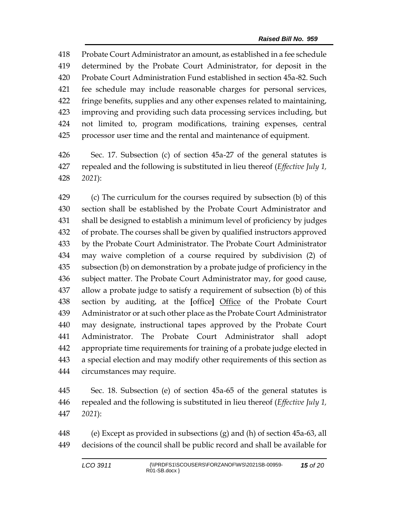Probate Court Administrator an amount, as established in a fee schedule determined by the Probate Court Administrator, for deposit in the Probate Court Administration Fund established in section 45a-82. Such fee schedule may include reasonable charges for personal services, fringe benefits, supplies and any other expenses related to maintaining, improving and providing such data processing services including, but not limited to, program modifications, training expenses, central processor user time and the rental and maintenance of equipment.

 Sec. 17. Subsection (c) of section 45a-27 of the general statutes is repealed and the following is substituted in lieu thereof (*Effective July 1, 2021*):

 (c) The curriculum for the courses required by subsection (b) of this section shall be established by the Probate Court Administrator and shall be designed to establish a minimum level of proficiency by judges of probate. The courses shall be given by qualified instructors approved by the Probate Court Administrator. The Probate Court Administrator may waive completion of a course required by subdivision (2) of subsection (b) on demonstration by a probate judge of proficiency in the subject matter. The Probate Court Administrator may, for good cause, allow a probate judge to satisfy a requirement of subsection (b) of this section by auditing, at the **[**office**]** Office of the Probate Court Administrator or at such other place as the Probate Court Administrator may designate, instructional tapes approved by the Probate Court Administrator. The Probate Court Administrator shall adopt appropriate time requirements for training of a probate judge elected in a special election and may modify other requirements of this section as circumstances may require.

 Sec. 18. Subsection (e) of section 45a-65 of the general statutes is repealed and the following is substituted in lieu thereof (*Effective July 1, 2021*):

 (e) Except as provided in subsections (g) and (h) of section 45a-63, all decisions of the council shall be public record and shall be available for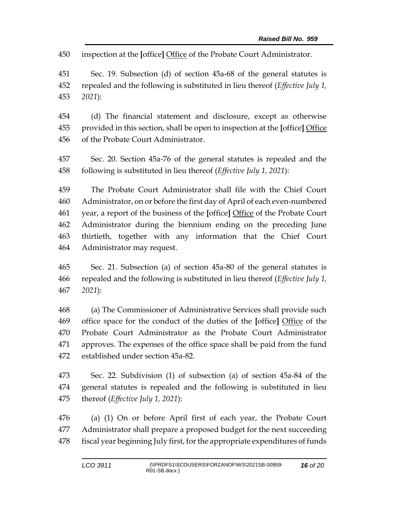inspection at the **[**office**]** Office of the Probate Court Administrator.

 Sec. 19. Subsection (d) of section 45a-68 of the general statutes is repealed and the following is substituted in lieu thereof (*Effective July 1, 2021*):

 (d) The financial statement and disclosure, except as otherwise provided in this section, shall be open to inspection at the **[**office**]** Office of the Probate Court Administrator.

 Sec. 20. Section 45a-76 of the general statutes is repealed and the following is substituted in lieu thereof (*Effective July 1, 2021*):

 The Probate Court Administrator shall file with the Chief Court Administrator, on or before the first day of April of each even-numbered year, a report of the business of the **[**office**]** Office of the Probate Court Administrator during the biennium ending on the preceding June thirtieth, together with any information that the Chief Court Administrator may request.

 Sec. 21. Subsection (a) of section 45a-80 of the general statutes is repealed and the following is substituted in lieu thereof (*Effective July 1, 2021*):

 (a) The Commissioner of Administrative Services shall provide such office space for the conduct of the duties of the **[**office**]** Office of the Probate Court Administrator as the Probate Court Administrator approves. The expenses of the office space shall be paid from the fund established under section 45a-82.

 Sec. 22. Subdivision (1) of subsection (a) of section 45a-84 of the general statutes is repealed and the following is substituted in lieu thereof (*Effective July 1, 2021*):

 (a) (1) On or before April first of each year, the Probate Court Administrator shall prepare a proposed budget for the next succeeding 478 fiscal year beginning July first, for the appropriate expenditures of funds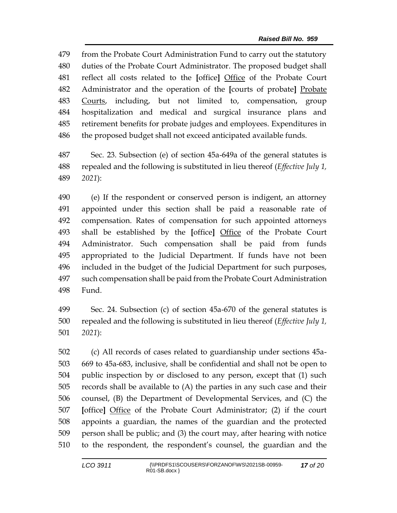from the Probate Court Administration Fund to carry out the statutory duties of the Probate Court Administrator. The proposed budget shall reflect all costs related to the **[**office**]** Office of the Probate Court Administrator and the operation of the **[**courts of probate**]** Probate Courts, including, but not limited to, compensation, group hospitalization and medical and surgical insurance plans and retirement benefits for probate judges and employees. Expenditures in the proposed budget shall not exceed anticipated available funds.

 Sec. 23. Subsection (e) of section 45a-649a of the general statutes is repealed and the following is substituted in lieu thereof (*Effective July 1, 2021*):

 (e) If the respondent or conserved person is indigent, an attorney appointed under this section shall be paid a reasonable rate of compensation. Rates of compensation for such appointed attorneys shall be established by the **[**office**]** Office of the Probate Court Administrator. Such compensation shall be paid from funds appropriated to the Judicial Department. If funds have not been included in the budget of the Judicial Department for such purposes, such compensation shall be paid from the Probate Court Administration Fund.

 Sec. 24. Subsection (c) of section 45a-670 of the general statutes is repealed and the following is substituted in lieu thereof (*Effective July 1, 2021*):

 (c) All records of cases related to guardianship under sections 45a- 669 to 45a-683, inclusive, shall be confidential and shall not be open to public inspection by or disclosed to any person, except that (1) such records shall be available to (A) the parties in any such case and their counsel, (B) the Department of Developmental Services, and (C) the **[**office**]** Office of the Probate Court Administrator; (2) if the court appoints a guardian, the names of the guardian and the protected person shall be public; and (3) the court may, after hearing with notice to the respondent, the respondent's counsel, the guardian and the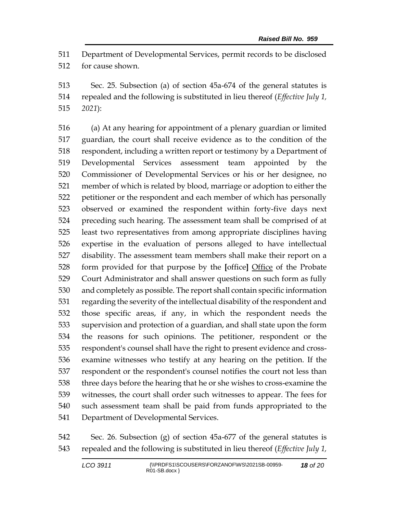Department of Developmental Services, permit records to be disclosed for cause shown.

 Sec. 25. Subsection (a) of section 45a-674 of the general statutes is repealed and the following is substituted in lieu thereof (*Effective July 1, 2021*):

 (a) At any hearing for appointment of a plenary guardian or limited guardian, the court shall receive evidence as to the condition of the respondent, including a written report or testimony by a Department of Developmental Services assessment team appointed by the Commissioner of Developmental Services or his or her designee, no member of which is related by blood, marriage or adoption to either the petitioner or the respondent and each member of which has personally observed or examined the respondent within forty-five days next preceding such hearing. The assessment team shall be comprised of at least two representatives from among appropriate disciplines having expertise in the evaluation of persons alleged to have intellectual disability. The assessment team members shall make their report on a form provided for that purpose by the **[**office**]** Office of the Probate Court Administrator and shall answer questions on such form as fully and completely as possible. The report shall contain specific information regarding the severity of the intellectual disability of the respondent and those specific areas, if any, in which the respondent needs the supervision and protection of a guardian, and shall state upon the form the reasons for such opinions. The petitioner, respondent or the respondent's counsel shall have the right to present evidence and cross- examine witnesses who testify at any hearing on the petition. If the respondent or the respondent's counsel notifies the court not less than three days before the hearing that he or she wishes to cross-examine the witnesses, the court shall order such witnesses to appear. The fees for such assessment team shall be paid from funds appropriated to the Department of Developmental Services.

 Sec. 26. Subsection (g) of section 45a-677 of the general statutes is repealed and the following is substituted in lieu thereof (*Effective July 1,*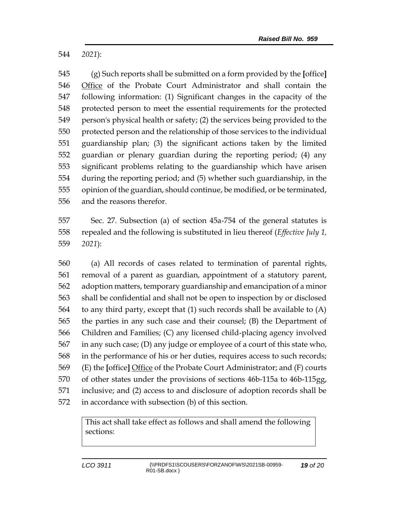*2021*):

 (g) Such reports shall be submitted on a form provided by the **[**office**]** Office of the Probate Court Administrator and shall contain the following information: (1) Significant changes in the capacity of the protected person to meet the essential requirements for the protected person's physical health or safety; (2) the services being provided to the protected person and the relationship of those services to the individual guardianship plan; (3) the significant actions taken by the limited guardian or plenary guardian during the reporting period; (4) any significant problems relating to the guardianship which have arisen during the reporting period; and (5) whether such guardianship, in the opinion of the guardian, should continue, be modified, or be terminated, and the reasons therefor.

 Sec. 27. Subsection (a) of section 45a-754 of the general statutes is repealed and the following is substituted in lieu thereof (*Effective July 1, 2021*):

 (a) All records of cases related to termination of parental rights, removal of a parent as guardian, appointment of a statutory parent, adoption matters, temporary guardianship and emancipation of a minor shall be confidential and shall not be open to inspection by or disclosed to any third party, except that (1) such records shall be available to (A) the parties in any such case and their counsel; (B) the Department of Children and Families; (C) any licensed child-placing agency involved in any such case; (D) any judge or employee of a court of this state who, in the performance of his or her duties, requires access to such records; (E) the **[**office**]** Office of the Probate Court Administrator; and (F) courts of other states under the provisions of sections 46b-115a to 46b-115gg, inclusive; and (2) access to and disclosure of adoption records shall be in accordance with subsection (b) of this section.

> This act shall take effect as follows and shall amend the following sections: